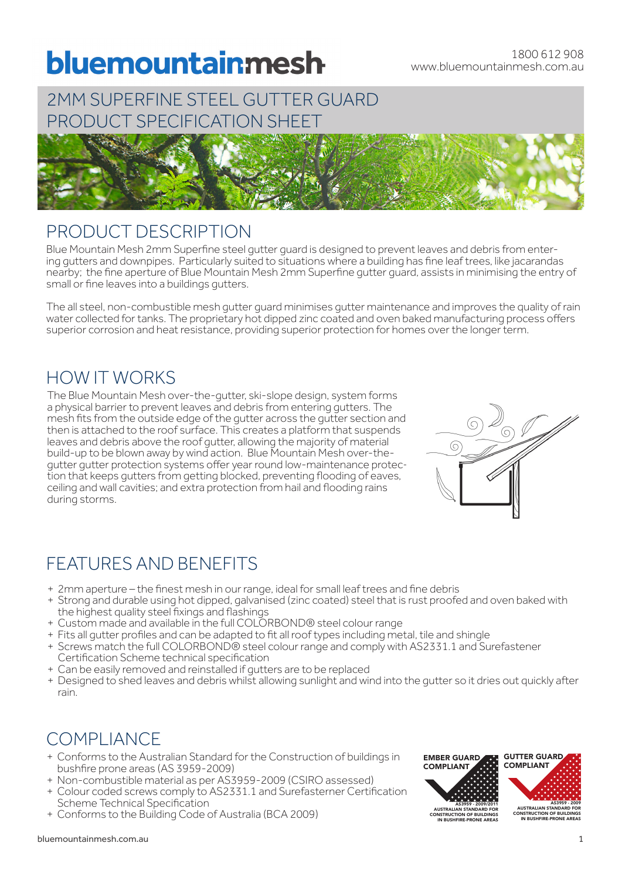# bluemountainmesh

# 2MM SUPERFINE STEEL GUTTER GUARD PRODUCT SPECIFICATION SHEET



## PRODUCT DESCRIPTION

Blue Mountain Mesh 2mm Superfine steel gutter guard is designed to prevent leaves and debris from enter-<br>ing gutters and downpipes. Particularly suited to situations where a building has fine leaf trees, like jacarandas nearby; the fine aperture of Blue Mountain Mesh 2mm Superfine gutter guard, assists in minimising the entry of small or fine leaves into a buildings gutters.

The all steel, non-combustible mesh gutter guard minimises gutter maintenance and improves the quality of rain water collected for tanks. The proprietary hot dipped zinc coated and oven baked manufacturing process offers superior corrosion and heat resistance, providing superior protection for homes over the longer term.

# HOW IT WORKS

The Blue Mountain Mesh over-the-gutter, ski-slope design, system forms a physical barrier to prevent leaves and debris from entering gutters. The mesh fits from the outside edge of the gutter across the gutter section and then is attached to the roof surface. This creates a platform that suspends leaves and debris above the roof gutter, allowing the majority of material build-up to be blown away by wind action. Blue Mountain Mesh over-the-<br>gutter gutter protection systems offer year round low-maintenance protection that keeps gutters from getting blocked, preventing flooding of eaves, ceiling and wall cavities; and extra protection from hail and flooding rains during storms.



# FEATURES AND BENEFITS

- + 2mm aperture the finest mesh in our range, ideal for small leaf trees and fine debris
- + Strong and durable using hot dipped, galvanised (zinc coated) steel that is rust proofed and oven baked with the highest quality steel fixings and flashings
- + Custom made and available in the full COLORBOND® steel colour range
- + Fits all gutter profiles and can be adapted to fit all roof types including metal, tile and shingle
- + Screws match the full COLORBOND® steel colour range and comply with AS2331.1 and Surefastener Certification Scheme technical specification
- + Can be easily removed and reinstalled if gutters are to be replaced
- + Designed to shed leaves and debris whilst allowing sunlight and wind into the gutter so it dries out quickly after rain.

# COMPLIANCE

- + Conforms to the Australian Standard for the Construction of buildings in bushfire prone areas (AS 3959-2009)
- + Non-combustible material as per AS3959-2009 (CSIRO assessed)
- + Colour coded screws comply to AS2331.1 and Surefasterner Certification Scheme Technical Specification
- + Conforms to the Building Code of Australia (BCA 2009)

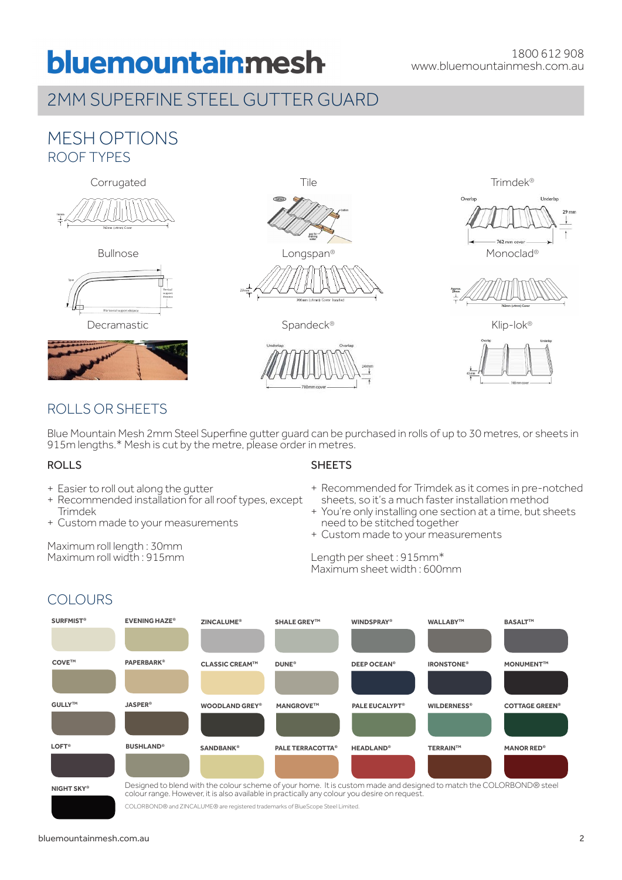# bluemountainmesh

# 2MM SUPERFINE STEEL GUTTER GUARD

### MESH OPTIONS ROOF TYPES











Bullnose **Example 2018** Longspan® **Monoclay** Monoclad®



762 mm cov



Decramastic Spandeck® Spandeck® Klip-lok®



### ROLLS OR SHEETS

Blue Mountain Mesh 2mm Steel Superfine gutter guard can be purchased in rolls of up to 30 metres, or sheets in 915m lengths.\* Mesh is cut by the metre, please order in metres.

#### ROLLS

**COLOURS** 

- + Easier to roll out along the gutter
- + Recommended installation for all roof types, except Trimdek
- + Custom made to your measurements

Maximum roll length : 30mm Maximum roll width : 915mm

#### **SHEETS**

- + Recommended for Trimdek as it comes in pre-notched sheets, so it's a much faster installation method
- + You're only installing one section at a time, but sheets need to be stitched together
- + Custom made to your measurements

#### Length per sheet : 915mm\* Maximum sheet width : 600mm



colour range. However, it is also available in practically any colour you desire on request.

COLORBOND® and ZINCALUME® are registered trademarks of BlueScope Steel Limited.

#### bluemountainmesh.com.au 2